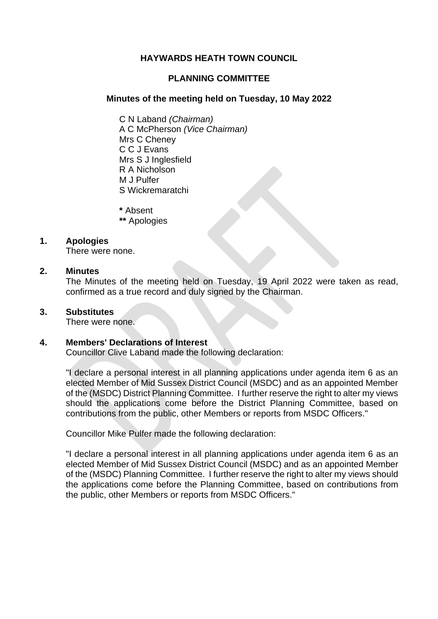# **HAYWARDS HEATH TOWN COUNCIL**

# **PLANNING COMMITTEE**

### **Minutes of the meeting held on Tuesday, 10 May 2022**

C N Laband *(Chairman)* A C McPherson *(Vice Chairman)* Mrs C Cheney C C J Evans Mrs S J Inglesfield R A Nicholson M J Pulfer S Wickremaratchi

**\*** Absent

**\*\*** Apologies

### **1. Apologies**

There were none.

### **2. Minutes**

The Minutes of the meeting held on Tuesday, 19 April 2022 were taken as read, confirmed as a true record and duly signed by the Chairman.

### **3. Substitutes**

There were none.

### **4. Members' Declarations of Interest**

Councillor Clive Laband made the following declaration:

"I declare a personal interest in all planning applications under agenda item 6 as an elected Member of Mid Sussex District Council (MSDC) and as an appointed Member of the (MSDC) District Planning Committee. I further reserve the right to alter my views should the applications come before the District Planning Committee, based on contributions from the public, other Members or reports from MSDC Officers."

Councillor Mike Pulfer made the following declaration:

"I declare a personal interest in all planning applications under agenda item 6 as an elected Member of Mid Sussex District Council (MSDC) and as an appointed Member of the (MSDC) Planning Committee. I further reserve the right to alter my views should the applications come before the Planning Committee, based on contributions from the public, other Members or reports from MSDC Officers."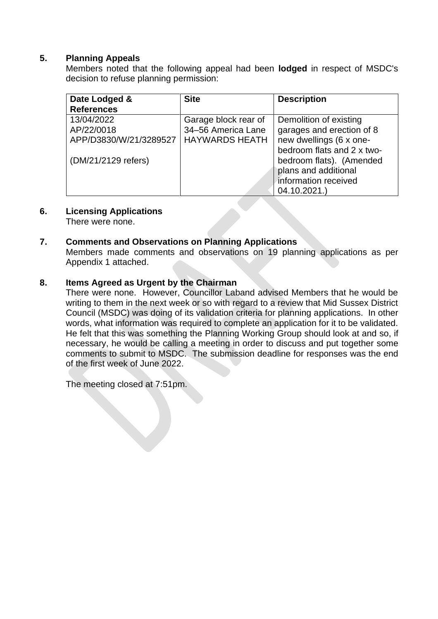# **5. Planning Appeals**

Members noted that the following appeal had been **lodged** in respect of MSDC's decision to refuse planning permission:

| Date Lodged &          | <b>Site</b>           | <b>Description</b>         |
|------------------------|-----------------------|----------------------------|
| <b>References</b>      |                       |                            |
| 13/04/2022             | Garage block rear of  | Demolition of existing     |
| AP/22/0018             | 34-56 America Lane    | garages and erection of 8  |
| APP/D3830/W/21/3289527 | <b>HAYWARDS HEATH</b> | new dwellings (6 x one-    |
|                        |                       | bedroom flats and 2 x two- |
| (DM/21/2129 refers)    |                       | bedroom flats). (Amended   |
|                        |                       | plans and additional       |
|                        |                       | information received       |
|                        |                       | 04.10.2021.)               |

# **6. Licensing Applications**

There were none.

# **7. Comments and Observations on Planning Applications**

Members made comments and observations on 19 planning applications as per Appendix 1 attached.

# **8. Items Agreed as Urgent by the Chairman**

There were none. However, Councillor Laband advised Members that he would be writing to them in the next week or so with regard to a review that Mid Sussex District Council (MSDC) was doing of its validation criteria for planning applications. In other words, what information was required to complete an application for it to be validated. He felt that this was something the Planning Working Group should look at and so, if necessary, he would be calling a meeting in order to discuss and put together some comments to submit to MSDC. The submission deadline for responses was the end of the first week of June 2022.

The meeting closed at 7:51pm.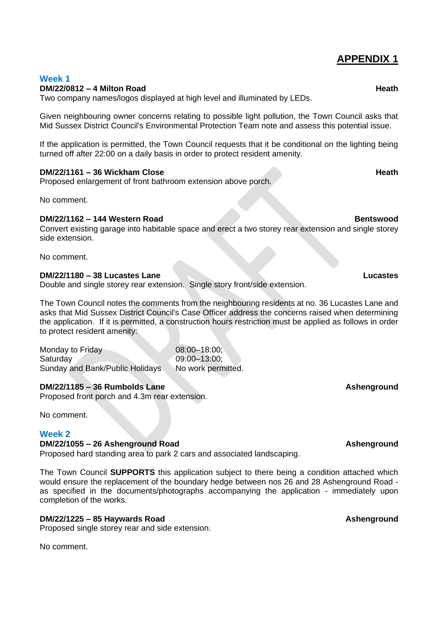# **APPENDIX 1**

### **Week 1 DM/22/0812 – 4 Milton Road Heath**

Two company names/logos displayed at high level and illuminated by LEDs.

Given neighbouring owner concerns relating to possible light pollution, the Town Council asks that Mid Sussex District Council's Environmental Protection Team note and assess this potential issue.

If the application is permitted, the Town Council requests that it be conditional on the lighting being turned off after 22:00 on a daily basis in order to protect resident amenity.

### **DM/22/1161 – 36 Wickham Close Heath**

Proposed enlargement of front bathroom extension above porch.

No comment.

### **DM/22/1162 – 144 Western Road Bentswood**

Convert existing garage into habitable space and erect a two storey rear extension and single storey side extension.

No comment.

### **DM/22/1180 – 38 Lucastes Lane Lucastes**

Double and single storey rear extension. Single story front/side extension.

The Town Council notes the comments from the neighbouring residents at no. 36 Lucastes Lane and asks that Mid Sussex District Council's Case Officer address the concerns raised when determining the application. If it is permitted, a construction hours restriction must be applied as follows in order to protect resident amenity:

Monday to Friday 08:00–18:00; Saturday 09:00–13:00; Sunday and Bank/Public Holidays No work permitted.

### **DM/22/1185 – 36 Rumbolds Lane Ashenground**

Proposed front porch and 4.3m rear extension.

No comment.

### **Week 2**

# **DM/22/1055 – 26 Ashenground Road Ashenground**

Proposed hard standing area to park 2 cars and associated landscaping.

The Town Council **SUPPORTS** this application subject to there being a condition attached which would ensure the replacement of the boundary hedge between nos 26 and 28 Ashenground Road as specified in the documents/photographs accompanying the application - immediately upon completion of the works.

### **DM/22/1225 – 85 Haywards Road Ashenground**

Proposed single storey rear and side extension.

No comment.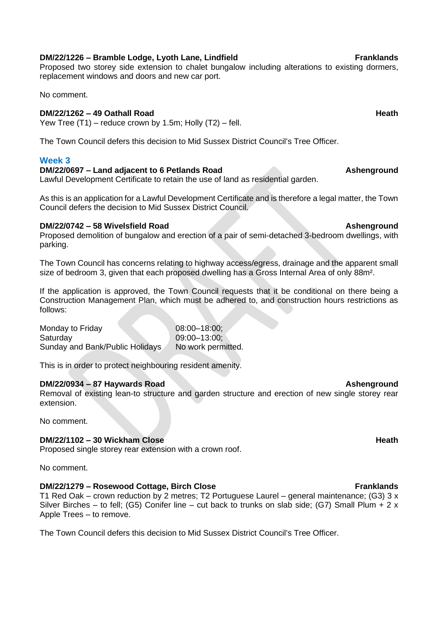Proposed two storey side extension to chalet bungalow including alterations to existing dormers, replacement windows and doors and new car port.

No comment.

# **DM/22/1262 – 49 Oathall Road Heath**

Yew Tree (T1) – reduce crown by 1.5m; Holly (T2) – fell.

The Town Council defers this decision to Mid Sussex District Council's Tree Officer.

## **Week 3**

# **DM/22/0697 – Land adjacent to 6 Petlands Road Ashenground**

Lawful Development Certificate to retain the use of land as residential garden.

As this is an application for a Lawful Development Certificate and is therefore a legal matter, the Town Council defers the decision to Mid Sussex District Council.

### **DM/22/0742 – 58 Wivelsfield Road Ashenground**

Proposed demolition of bungalow and erection of a pair of semi-detached 3-bedroom dwellings, with parking.

The Town Council has concerns relating to highway access/egress, drainage and the apparent small size of bedroom 3, given that each proposed dwelling has a Gross Internal Area of only 88m².

If the application is approved, the Town Council requests that it be conditional on there being a Construction Management Plan, which must be adhered to, and construction hours restrictions as follows:

Monday to Friday **08:00–18:00**; Saturday 09:00–13:00; Sunday and Bank/Public Holidays No work permitted.

This is in order to protect neighbouring resident amenity.

# **DM/22/0934 – 87 Haywards Road Ashenground**

Removal of existing lean-to structure and garden structure and erection of new single storey rear extension.

No comment.

# **DM/22/1102 – 30 Wickham Close Heath**

Proposed single storey rear extension with a crown roof.

No comment.

# **DM/22/1279 – Rosewood Cottage, Birch Close Franklands**

T1 Red Oak – crown reduction by 2 metres; T2 Portuguese Laurel – general maintenance; (G3)  $3 \times$ Silver Birches – to fell; (G5) Conifer line – cut back to trunks on slab side; (G7) Small Plum + 2 x Apple Trees – to remove.

The Town Council defers this decision to Mid Sussex District Council's Tree Officer.